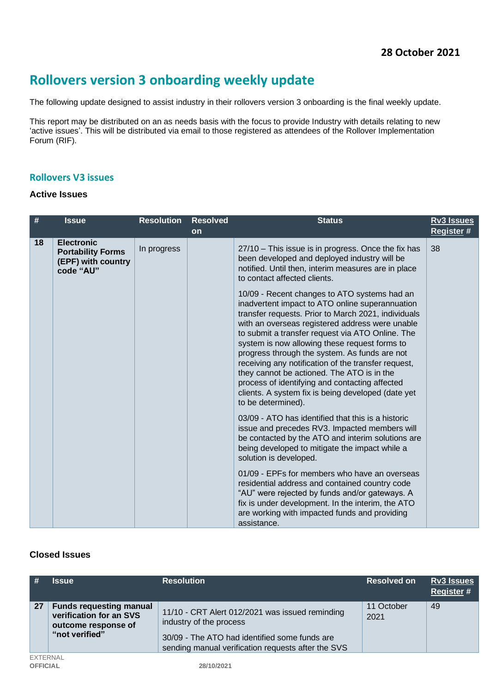# **Rollovers version 3 onboarding weekly update**

The following update designed to assist industry in their rollovers version 3 onboarding is the final weekly update.

This report may be distributed on an as needs basis with the focus to provide Industry with details relating to new 'active issues'. This will be distributed via email to those registered as attendees of the Rollover Implementation Forum (RIF).

## **Rollovers V3 issues**

#### **Active Issues**

| $\#$ | <b>Issue</b>                                                                     | <b>Resolution</b> | <b>Resolved</b> | <b>Status</b>                                                                                                                                                                                                                                                                                                                                                                                                                                                                                                                                                                                      | <b>Rv3 Issues</b> |
|------|----------------------------------------------------------------------------------|-------------------|-----------------|----------------------------------------------------------------------------------------------------------------------------------------------------------------------------------------------------------------------------------------------------------------------------------------------------------------------------------------------------------------------------------------------------------------------------------------------------------------------------------------------------------------------------------------------------------------------------------------------------|-------------------|
|      |                                                                                  |                   | on              |                                                                                                                                                                                                                                                                                                                                                                                                                                                                                                                                                                                                    | Register #        |
| 18   | <b>Electronic</b><br><b>Portability Forms</b><br>(EPF) with country<br>code "AU" | In progress       |                 | 27/10 - This issue is in progress. Once the fix has<br>been developed and deployed industry will be<br>notified. Until then, interim measures are in place<br>to contact affected clients.                                                                                                                                                                                                                                                                                                                                                                                                         | 38                |
|      |                                                                                  |                   |                 | 10/09 - Recent changes to ATO systems had an<br>inadvertent impact to ATO online superannuation<br>transfer requests. Prior to March 2021, individuals<br>with an overseas registered address were unable<br>to submit a transfer request via ATO Online. The<br>system is now allowing these request forms to<br>progress through the system. As funds are not<br>receiving any notification of the transfer request,<br>they cannot be actioned. The ATO is in the<br>process of identifying and contacting affected<br>clients. A system fix is being developed (date yet<br>to be determined). |                   |
|      |                                                                                  |                   |                 | 03/09 - ATO has identified that this is a historic<br>issue and precedes RV3. Impacted members will<br>be contacted by the ATO and interim solutions are<br>being developed to mitigate the impact while a<br>solution is developed.                                                                                                                                                                                                                                                                                                                                                               |                   |
|      |                                                                                  |                   |                 | 01/09 - EPFs for members who have an overseas<br>residential address and contained country code<br>"AU" were rejected by funds and/or gateways. A<br>fix is under development. In the interim, the ATO<br>are working with impacted funds and providing<br>assistance.                                                                                                                                                                                                                                                                                                                             |                   |

#### **Closed Issues**

|                 | <b>Issue</b>                                                                                       | <b>Resolution</b>                                                                                                                                                                 | <b>Resolved on</b> | Rv3 Issues<br>Register # |
|-----------------|----------------------------------------------------------------------------------------------------|-----------------------------------------------------------------------------------------------------------------------------------------------------------------------------------|--------------------|--------------------------|
| 27              | <b>Funds requesting manual</b><br>verification for an SVS<br>outcome response of<br>"not verified" | 11/10 - CRT Alert 012/2021 was issued reminding<br>industry of the process<br>30/09 - The ATO had identified some funds are<br>sending manual verification requests after the SVS | 11 October<br>2021 | 49                       |
| <b>EXTERNAL</b> |                                                                                                    |                                                                                                                                                                                   |                    |                          |
| <b>OFFICIAL</b> |                                                                                                    | 28/10/2021                                                                                                                                                                        |                    |                          |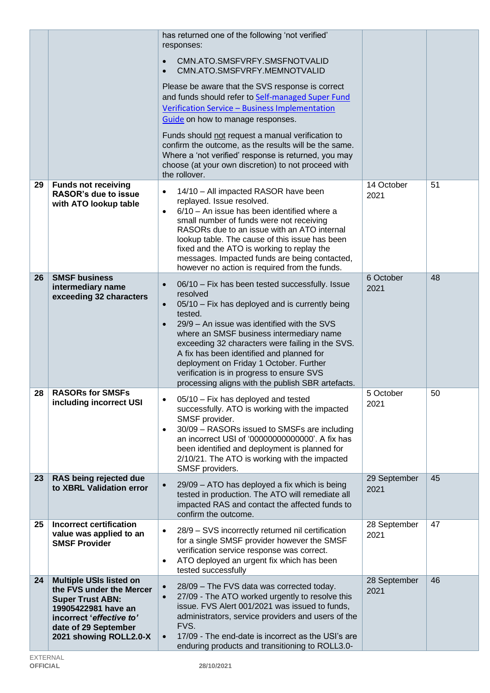|    |                                                                                                                                                                                            | has returned one of the following 'not verified'<br>responses:<br>CMN.ATO.SMSFVRFY.SMSFNOTVALID<br>$\bullet$<br>CMN.ATO.SMSFVRFY.MEMNOTVALID<br>$\bullet$<br>Please be aware that the SVS response is correct<br>and funds should refer to Self-managed Super Fund<br>Verification Service - Business Implementation<br>Guide on how to manage responses.<br>Funds should not request a manual verification to<br>confirm the outcome, as the results will be the same.<br>Where a 'not verified' response is returned, you may<br>choose (at your own discretion) to not proceed with<br>the rollover. |                      |    |
|----|--------------------------------------------------------------------------------------------------------------------------------------------------------------------------------------------|---------------------------------------------------------------------------------------------------------------------------------------------------------------------------------------------------------------------------------------------------------------------------------------------------------------------------------------------------------------------------------------------------------------------------------------------------------------------------------------------------------------------------------------------------------------------------------------------------------|----------------------|----|
| 29 | <b>Funds not receiving</b><br><b>RASOR's due to issue</b><br>with ATO lookup table                                                                                                         | 14/10 - All impacted RASOR have been<br>$\bullet$<br>replayed. Issue resolved.<br>6/10 - An issue has been identified where a<br>$\bullet$<br>small number of funds were not receiving<br>RASORs due to an issue with an ATO internal<br>lookup table. The cause of this issue has been<br>fixed and the ATO is working to replay the<br>messages. Impacted funds are being contacted,<br>however no action is required from the funds.                                                                                                                                                                 | 14 October<br>2021   | 51 |
| 26 | <b>SMSF business</b><br>intermediary name<br>exceeding 32 characters                                                                                                                       | 06/10 - Fix has been tested successfully. Issue<br>$\bullet$<br>resolved<br>05/10 - Fix has deployed and is currently being<br>$\bullet$<br>tested.<br>29/9 – An issue was identified with the SVS<br>$\bullet$<br>where an SMSF business intermediary name<br>exceeding 32 characters were failing in the SVS.<br>A fix has been identified and planned for<br>deployment on Friday 1 October. Further<br>verification is in progress to ensure SVS<br>processing aligns with the publish SBR artefacts.                                                                                               | 6 October<br>2021    | 48 |
| 28 | <b>RASORs for SMSFs</b><br>including incorrect USI                                                                                                                                         | 05/10 - Fix has deployed and tested<br>successfully. ATO is working with the impacted<br>SMSF provider.<br>30/09 - RASORs issued to SMSFs are including<br>$\bullet$<br>an incorrect USI of '00000000000000'. A fix has<br>been identified and deployment is planned for<br>2/10/21. The ATO is working with the impacted<br>SMSF providers.                                                                                                                                                                                                                                                            | 5 October<br>2021    | 50 |
| 23 | RAS being rejected due<br>to XBRL Validation error                                                                                                                                         | 29/09 - ATO has deployed a fix which is being<br>$\bullet$<br>tested in production. The ATO will remediate all<br>impacted RAS and contact the affected funds to<br>confirm the outcome.                                                                                                                                                                                                                                                                                                                                                                                                                | 29 September<br>2021 | 45 |
| 25 | <b>Incorrect certification</b><br>value was applied to an<br><b>SMSF Provider</b>                                                                                                          | 28/9 - SVS incorrectly returned nil certification<br>٠<br>for a single SMSF provider however the SMSF<br>verification service response was correct.<br>ATO deployed an urgent fix which has been<br>$\bullet$<br>tested successfully                                                                                                                                                                                                                                                                                                                                                                    | 28 September<br>2021 | 47 |
| 24 | <b>Multiple USIs listed on</b><br>the FVS under the Mercer<br><b>Super Trust ABN:</b><br>19905422981 have an<br>incorrect 'effective to'<br>date of 29 September<br>2021 showing ROLL2.0-X | 28/09 - The FVS data was corrected today.<br>$\bullet$<br>27/09 - The ATO worked urgently to resolve this<br>$\bullet$<br>issue. FVS Alert 001/2021 was issued to funds,<br>administrators, service providers and users of the<br>FVS.<br>17/09 - The end-date is incorrect as the USI's are<br>$\bullet$<br>enduring products and transitioning to ROLL3.0-                                                                                                                                                                                                                                            | 28 September<br>2021 | 46 |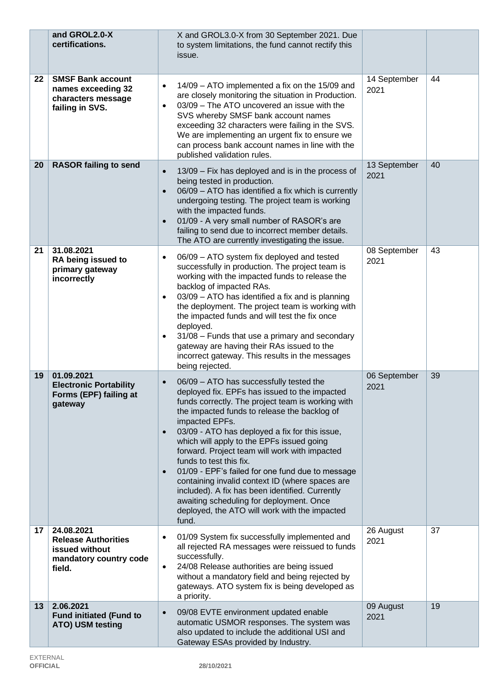|    | and GROL2.0-X<br>certifications.                                                               | X and GROL3.0-X from 30 September 2021. Due<br>to system limitations, the fund cannot rectify this<br>issue.                                                                                                                                                                                                                                                                                                                                                                                                                                                                                                                                                                                      |                      |    |
|----|------------------------------------------------------------------------------------------------|---------------------------------------------------------------------------------------------------------------------------------------------------------------------------------------------------------------------------------------------------------------------------------------------------------------------------------------------------------------------------------------------------------------------------------------------------------------------------------------------------------------------------------------------------------------------------------------------------------------------------------------------------------------------------------------------------|----------------------|----|
| 22 | <b>SMSF Bank account</b><br>names exceeding 32<br>characters message<br>failing in SVS.        | 14/09 - ATO implemented a fix on the 15/09 and<br>$\bullet$<br>are closely monitoring the situation in Production.<br>03/09 - The ATO uncovered an issue with the<br>$\bullet$<br>SVS whereby SMSF bank account names<br>exceeding 32 characters were failing in the SVS.<br>We are implementing an urgent fix to ensure we<br>can process bank account names in line with the<br>published validation rules.                                                                                                                                                                                                                                                                                     | 14 September<br>2021 | 44 |
| 20 | <b>RASOR failing to send</b>                                                                   | 13/09 - Fix has deployed and is in the process of<br>$\bullet$<br>being tested in production.<br>06/09 - ATO has identified a fix which is currently<br>$\bullet$<br>undergoing testing. The project team is working<br>with the impacted funds.<br>01/09 - A very small number of RASOR's are<br>$\bullet$<br>failing to send due to incorrect member details.<br>The ATO are currently investigating the issue.                                                                                                                                                                                                                                                                                 | 13 September<br>2021 | 40 |
| 21 | 31.08.2021<br>RA being issued to<br>primary gateway<br>incorrectly                             | 06/09 - ATO system fix deployed and tested<br>$\bullet$<br>successfully in production. The project team is<br>working with the impacted funds to release the<br>backlog of impacted RAs.<br>03/09 - ATO has identified a fix and is planning<br>$\bullet$<br>the deployment. The project team is working with<br>the impacted funds and will test the fix once<br>deployed.<br>31/08 - Funds that use a primary and secondary<br>$\bullet$<br>gateway are having their RAs issued to the<br>incorrect gateway. This results in the messages<br>being rejected.                                                                                                                                    | 08 September<br>2021 | 43 |
| 19 | 01.09.2021<br><b>Electronic Portability</b><br>Forms (EPF) failing at<br>gateway               | 06/09 - ATO has successfully tested the<br>$\bullet$<br>deployed fix. EPFs has issued to the impacted<br>funds correctly. The project team is working with<br>the impacted funds to release the backlog of<br>impacted EPFs.<br>03/09 - ATO has deployed a fix for this issue,<br>$\bullet$<br>which will apply to the EPFs issued going<br>forward. Project team will work with impacted<br>funds to test this fix.<br>01/09 - EPF's failed for one fund due to message<br>$\bullet$<br>containing invalid context ID (where spaces are<br>included). A fix has been identified. Currently<br>awaiting scheduling for deployment. Once<br>deployed, the ATO will work with the impacted<br>fund. | 06 September<br>2021 | 39 |
| 17 | 24.08.2021<br><b>Release Authorities</b><br>issued without<br>mandatory country code<br>field. | 01/09 System fix successfully implemented and<br>$\bullet$<br>all rejected RA messages were reissued to funds<br>successfully.<br>24/08 Release authorities are being issued<br>$\bullet$<br>without a mandatory field and being rejected by<br>gateways. ATO system fix is being developed as<br>a priority.                                                                                                                                                                                                                                                                                                                                                                                     | 26 August<br>2021    | 37 |
| 13 | 2.06.2021<br><b>Fund initiated (Fund to</b><br>ATO) USM testing                                | 09/08 EVTE environment updated enable<br>$\bullet$<br>automatic USMOR responses. The system was<br>also updated to include the additional USI and<br>Gateway ESAs provided by Industry.                                                                                                                                                                                                                                                                                                                                                                                                                                                                                                           | 09 August<br>2021    | 19 |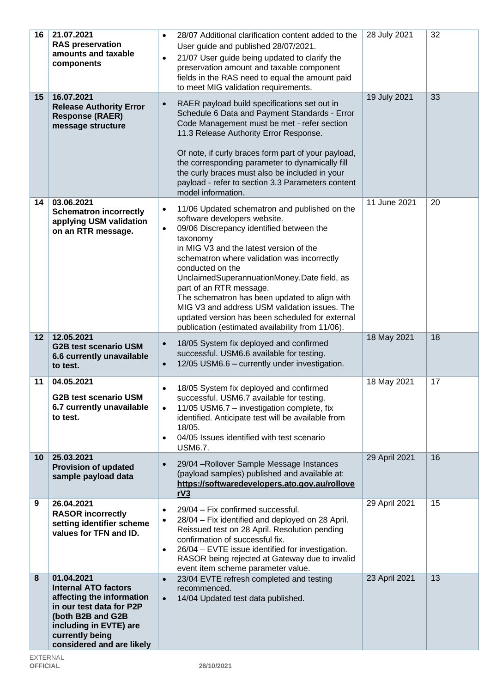| 16              | 21.07.2021<br><b>RAS preservation</b><br>amounts and taxable<br>components                                                                                                                        | 28/07 Additional clarification content added to the<br>$\bullet$<br>User guide and published 28/07/2021.<br>21/07 User guide being updated to clarify the<br>$\bullet$<br>preservation amount and taxable component<br>fields in the RAS need to equal the amount paid<br>to meet MIG validation requirements.                                                                                                                                                                                                                                                   | 28 July 2021  | 32 |
|-----------------|---------------------------------------------------------------------------------------------------------------------------------------------------------------------------------------------------|------------------------------------------------------------------------------------------------------------------------------------------------------------------------------------------------------------------------------------------------------------------------------------------------------------------------------------------------------------------------------------------------------------------------------------------------------------------------------------------------------------------------------------------------------------------|---------------|----|
| 15              | 16.07.2021<br><b>Release Authority Error</b><br><b>Response (RAER)</b><br>message structure                                                                                                       | RAER payload build specifications set out in<br>$\bullet$<br>Schedule 6 Data and Payment Standards - Error<br>Code Management must be met - refer section<br>11.3 Release Authority Error Response.<br>Of note, if curly braces form part of your payload,<br>the corresponding parameter to dynamically fill<br>the curly braces must also be included in your<br>payload - refer to section 3.3 Parameters content<br>model information.                                                                                                                       | 19 July 2021  | 33 |
| 14              | 03.06.2021<br><b>Schematron incorrectly</b><br>applying USM validation<br>on an RTR message.                                                                                                      | 11/06 Updated schematron and published on the<br>$\bullet$<br>software developers website.<br>09/06 Discrepancy identified between the<br>$\bullet$<br>taxonomy<br>in MIG V3 and the latest version of the<br>schematron where validation was incorrectly<br>conducted on the<br>UnclaimedSuperannuationMoney.Date field, as<br>part of an RTR message.<br>The schematron has been updated to align with<br>MIG V3 and address USM validation issues. The<br>updated version has been scheduled for external<br>publication (estimated availability from 11/06). | 11 June 2021  | 20 |
| 12              | 12.05.2021<br><b>G2B test scenario USM</b><br>6.6 currently unavailable<br>to test.                                                                                                               | 18/05 System fix deployed and confirmed<br>$\bullet$<br>successful. USM6.6 available for testing.<br>12/05 USM6.6 - currently under investigation.<br>$\bullet$                                                                                                                                                                                                                                                                                                                                                                                                  | 18 May 2021   | 18 |
| 11              | 04.05.2021<br><b>G2B test scenario USM</b><br>6.7 currently unavailable<br>to test.                                                                                                               | 18/05 System fix deployed and confirmed<br>$\bullet$<br>successful. USM6.7 available for testing.<br>11/05 USM6.7 - investigation complete, fix<br>$\bullet$<br>identified. Anticipate test will be available from<br>18/05.<br>04/05 Issues identified with test scenario<br>$\bullet$<br><b>USM6.7.</b>                                                                                                                                                                                                                                                        | 18 May 2021   | 17 |
| 10 <sup>°</sup> | 25.03.2021<br><b>Provision of updated</b><br>sample payload data                                                                                                                                  | 29/04 - Rollover Sample Message Instances<br>$\bullet$<br>(payload samples) published and available at:<br>https://softwaredevelopers.ato.gov.au/rollove<br>rV3                                                                                                                                                                                                                                                                                                                                                                                                  | 29 April 2021 | 16 |
| 9               | 26.04.2021<br><b>RASOR incorrectly</b><br>setting identifier scheme<br>values for TFN and ID.                                                                                                     | 29/04 - Fix confirmed successful.<br>$\bullet$<br>28/04 - Fix identified and deployed on 28 April.<br>$\bullet$<br>Reissued test on 28 April. Resolution pending<br>confirmation of successful fix.<br>26/04 - EVTE issue identified for investigation.<br>$\bullet$<br>RASOR being rejected at Gateway due to invalid<br>event item scheme parameter value.                                                                                                                                                                                                     | 29 April 2021 | 15 |
| 8               | 01.04.2021<br><b>Internal ATO factors</b><br>affecting the information<br>in our test data for P2P<br>(both B2B and G2B<br>including in EVTE) are<br>currently being<br>considered and are likely | 23/04 EVTE refresh completed and testing<br>$\bullet$<br>recommenced.<br>14/04 Updated test data published.<br>$\bullet$                                                                                                                                                                                                                                                                                                                                                                                                                                         | 23 April 2021 | 13 |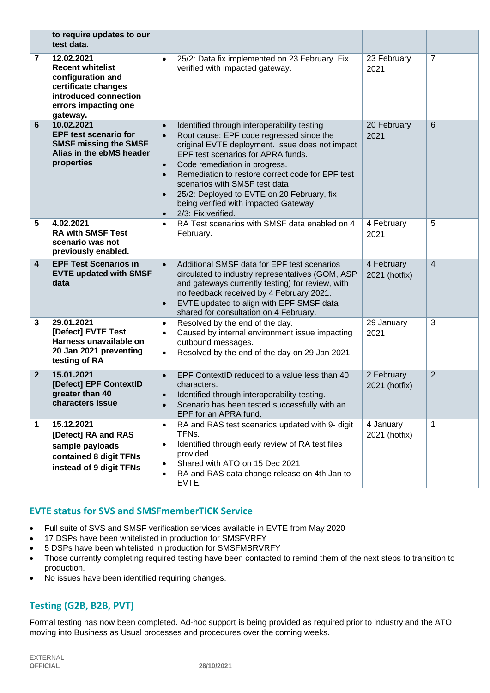|                         | to require updates to our<br>test data.                                                                                                        |                                                                            |                                                                                                                                                                                                                                                                                                                                                                                                                    |                             |                |
|-------------------------|------------------------------------------------------------------------------------------------------------------------------------------------|----------------------------------------------------------------------------|--------------------------------------------------------------------------------------------------------------------------------------------------------------------------------------------------------------------------------------------------------------------------------------------------------------------------------------------------------------------------------------------------------------------|-----------------------------|----------------|
| 7                       | 12.02.2021<br><b>Recent whitelist</b><br>configuration and<br>certificate changes<br>introduced connection<br>errors impacting one<br>gateway. | $\bullet$                                                                  | 25/2: Data fix implemented on 23 February. Fix<br>verified with impacted gateway.                                                                                                                                                                                                                                                                                                                                  | 23 February<br>2021         | 7              |
| 6                       | 10.02.2021<br><b>EPF test scenario for</b><br><b>SMSF missing the SMSF</b><br>Alias in the ebMS header<br>properties                           | $\bullet$<br>$\bullet$<br>$\bullet$<br>$\bullet$<br>$\bullet$<br>$\bullet$ | Identified through interoperability testing<br>Root cause: EPF code regressed since the<br>original EVTE deployment. Issue does not impact<br>EPF test scenarios for APRA funds.<br>Code remediation in progress.<br>Remediation to restore correct code for EPF test<br>scenarios with SMSF test data<br>25/2: Deployed to EVTE on 20 February, fix<br>being verified with impacted Gateway<br>2/3: Fix verified. | 20 February<br>2021         | 6              |
| 5                       | 4.02.2021<br><b>RA with SMSF Test</b><br>scenario was not<br>previously enabled.                                                               | $\bullet$                                                                  | RA Test scenarios with SMSF data enabled on 4<br>February.                                                                                                                                                                                                                                                                                                                                                         | 4 February<br>2021          | 5              |
| $\overline{\mathbf{4}}$ | <b>EPF Test Scenarios in</b><br><b>EVTE updated with SMSF</b><br>data                                                                          | $\bullet$<br>$\bullet$                                                     | Additional SMSF data for EPF test scenarios<br>circulated to industry representatives (GOM, ASP<br>and gateways currently testing) for review, with<br>no feedback received by 4 February 2021.<br>EVTE updated to align with EPF SMSF data<br>shared for consultation on 4 February.                                                                                                                              | 4 February<br>2021 (hotfix) | 4              |
| 3                       | 29.01.2021<br>[Defect] EVTE Test<br>Harness unavailable on<br>20 Jan 2021 preventing<br>testing of RA                                          | $\bullet$<br>$\bullet$<br>$\bullet$                                        | Resolved by the end of the day.<br>Caused by internal environment issue impacting<br>outbound messages.<br>Resolved by the end of the day on 29 Jan 2021.                                                                                                                                                                                                                                                          | 29 January<br>2021          | 3              |
| $\mathbf{2}$            | 15.01.2021<br>[Defect] EPF ContextID<br>greater than 40<br>characters issue                                                                    | $\bullet$<br>$\bullet$<br>$\bullet$                                        | EPF ContextID reduced to a value less than 40<br>characters.<br>Identified through interoperability testing.<br>Scenario has been tested successfully with an<br>EPF for an APRA fund.                                                                                                                                                                                                                             | 2 February<br>2021 (hotfix) | $\overline{2}$ |
| 1                       | 15.12.2021<br>[Defect] RA and RAS<br>sample payloads<br>contained 8 digit TFNs<br>instead of 9 digit TFNs                                      | $\bullet$<br>$\bullet$<br>٠<br>$\bullet$                                   | RA and RAS test scenarios updated with 9- digit<br>TFNs.<br>Identified through early review of RA test files<br>provided.<br>Shared with ATO on 15 Dec 2021<br>RA and RAS data change release on 4th Jan to<br>EVTE.                                                                                                                                                                                               | 4 January<br>2021 (hotfix)  | 1              |

## **EVTE status for SVS and SMSFmemberTICK Service**

- Full suite of SVS and SMSF verification services available in EVTE from May 2020
- 17 DSPs have been whitelisted in production for SMSFVRFY
- 5 DSPs have been whitelisted in production for SMSFMBRVRFY
- Those currently completing required testing have been contacted to remind them of the next steps to transition to production.
- No issues have been identified requiring changes.

## **Testing (G2B, B2B, PVT)**

Formal testing has now been completed. Ad-hoc support is being provided as required prior to industry and the ATO moving into Business as Usual processes and procedures over the coming weeks.